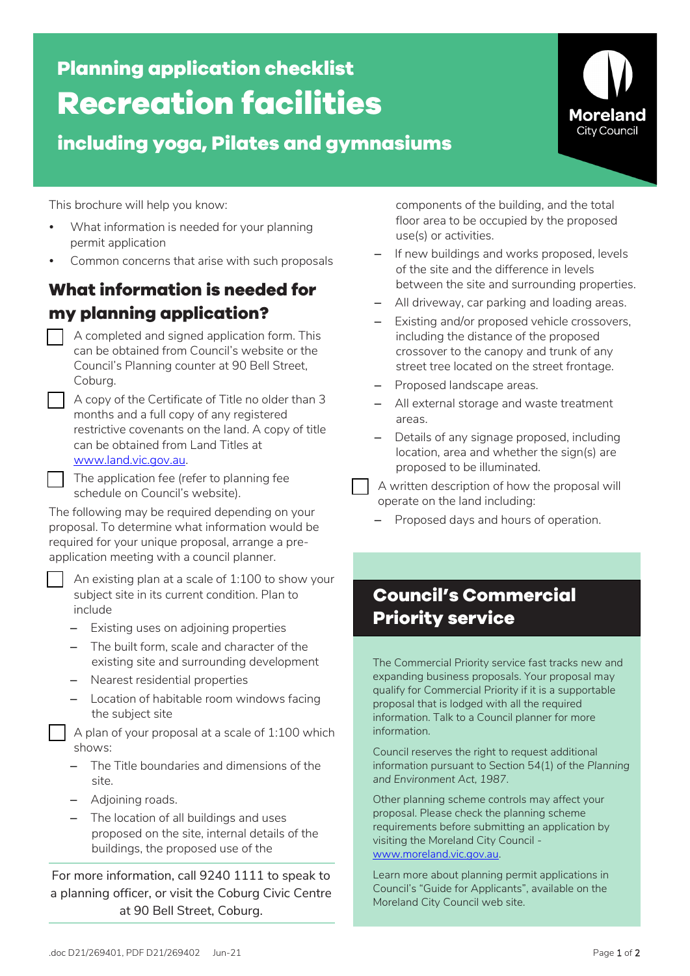# **Planning application checklist Recreation facilities**

# **including yoga, Pilates and gymnasiums**

This brochure will help you know:

- What information is needed for your planning permit application
- Common concerns that arise with such proposals

## **What information is needed for my planning application?**

- A completed and signed application form. This can be obtained from Council's website or the Council's Planning counter at 90 Bell Street, Coburg.
- A copy of the Certificate of Title no older than 3 months and a full copy of any registered restrictive covenants on the land. A copy of title can be obtained from Land Titles at www.land.vic.gov.au.
- The application fee (refer to planning fee schedule on Council's website).

The following may be required depending on your proposal. To determine what information would be required for your unique proposal, arrange a preapplication meeting with a council planner.

 An existing plan at a scale of 1:100 to show your subject site in its current condition. Plan to include

- Existing uses on adjoining properties
- The built form, scale and character of the existing site and surrounding development
- Nearest residential properties
- Location of habitable room windows facing the subject site

 A plan of your proposal at a scale of 1:100 which shows:

- The Title boundaries and dimensions of the site.
- Adjoining roads.
- The location of all buildings and uses proposed on the site, internal details of the buildings, the proposed use of the

For more information, call 9240 1111 to speak to a planning officer, or visit the Coburg Civic Centre at 90 Bell Street, Coburg.

components of the building, and the total floor area to be occupied by the proposed use(s) or activities.

- If new buildings and works proposed, levels of the site and the difference in levels between the site and surrounding properties.
- All driveway, car parking and loading areas.
- Existing and/or proposed vehicle crossovers, including the distance of the proposed crossover to the canopy and trunk of any street tree located on the street frontage.
- Proposed landscape areas.
- All external storage and waste treatment areas.
- Details of any signage proposed, including location, area and whether the sign(s) are proposed to be illuminated.

 A written description of how the proposal will operate on the land including:

– Proposed days and hours of operation.

## **Council's Commercial Priority service**

The Commercial Priority service fast tracks new and expanding business proposals. Your proposal may qualify for Commercial Priority if it is a supportable proposal that is lodged with all the required information. Talk to a Council planner for more information.

Council reserves the right to request additional information pursuant to Section 54(1) of the *Planning and Environment Act, 1987*.

Other planning scheme controls may affect your proposal. Please check the planning scheme requirements before submitting an application by visiting the Moreland City Council www.moreland.vic.gov.au.

Learn more about planning permit applications in Council's "Guide for Applicants", available on the Moreland City Council web site.